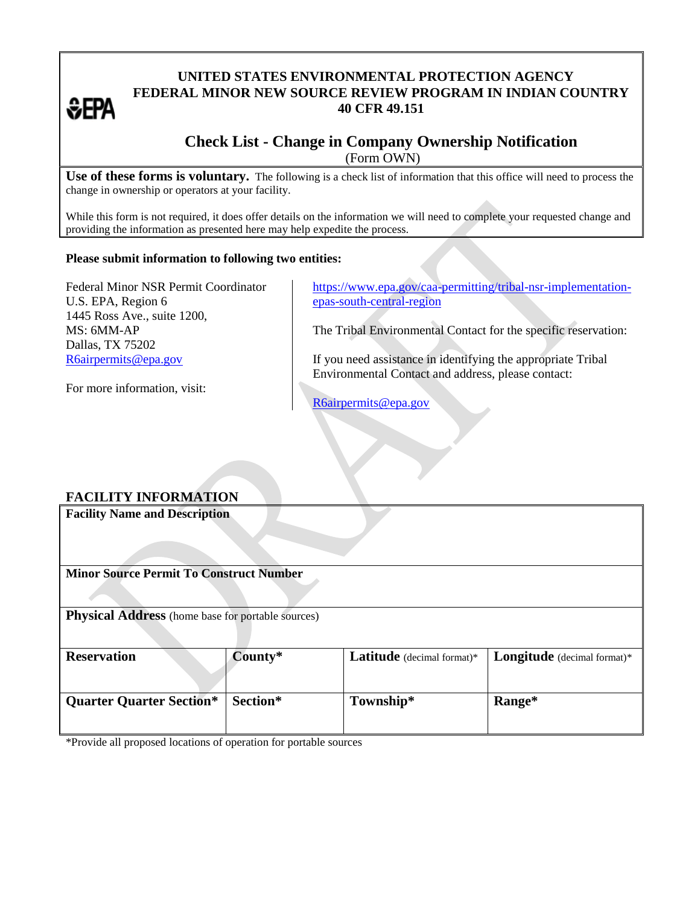# *<b>*

## **UNITED STATES ENVIRONMENTAL PROTECTION AGENCY FEDERAL MINOR NEW SOURCE REVIEW PROGRAM IN INDIAN COUNTRY 40 CFR 49.151**

## **Check List - Change in Company Ownership Notification**  (Form OWN)

**Use of these forms is voluntary.** The following is a check list of information that this office will need to process the change in ownership or operators at your facility.

While this form is not required, it does offer details on the information we will need to complete your requested change and providing the information as presented here may help expedite the process.

#### **Please submit information to following two entities:**

Federal Minor NSR Permit Coordinator U.S. EPA, Region 6 1445 Ross Ave., suite 1200, MS: 6MM-AP Dallas, TX 75202 [R6airpermits@epa.gov](mailto:R6airpermits@epa.gov)

[https://www.epa.gov/caa-permitting/tribal-nsr-implementation](https://www.epa.gov/caa-permitting/tribal-nsr-implementation-epas-south-central-region)[epas-south-central-region](https://www.epa.gov/caa-permitting/tribal-nsr-implementation-epas-south-central-region)

The Tribal Environmental Contact for the specific reservation:

If you need assistance in identifying the appropriate Tribal Environmental Contact and address, please contact:

For more information, visit:

[R6airpermits@epa.gov](mailto:R6airpermits@epa.gov)

### **FACILITY INFORMATION**

**Facility Name and Description Minor Source Permit To Construct Number Physical Address** (home base for portable sources) **Reservation County\* Latitude** (decimal format)\* **Longitude** (decimal format)\* **Quarter Quarter Section\* Section\* Township\* Range\***

\*Provide all proposed locations of operation for portable sources